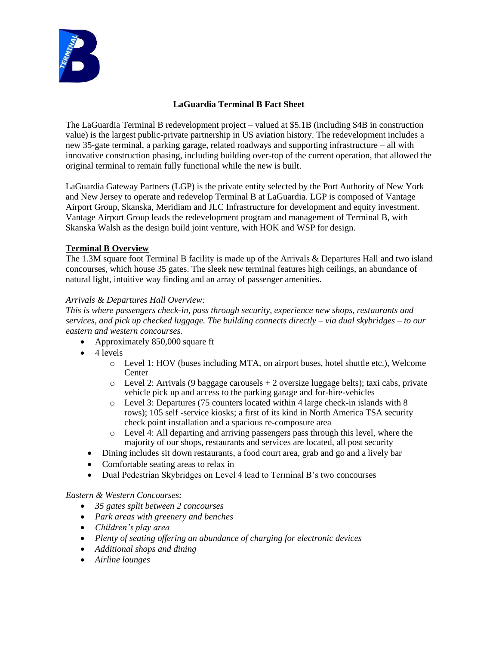

# **LaGuardia Terminal B Fact Sheet**

The LaGuardia Terminal B redevelopment project – valued at \$5.1B (including \$4B in construction value) is the largest public-private partnership in US aviation history. The redevelopment includes a new 35-gate terminal, a parking garage, related roadways and supporting infrastructure – all with innovative construction phasing, including building over-top of the current operation, that allowed the original terminal to remain fully functional while the new is built.

LaGuardia Gateway Partners (LGP) is the private entity selected by the Port Authority of New York and New Jersey to operate and redevelop Terminal B at LaGuardia. LGP is composed of Vantage Airport Group, Skanska, Meridiam and JLC Infrastructure for development and equity investment. Vantage Airport Group leads the redevelopment program and management of Terminal B, with Skanska Walsh as the design build joint venture, with HOK and WSP for design.

## **Terminal B Overview**

The 1.3M square foot Terminal B facility is made up of the Arrivals & Departures Hall and two island concourses, which house 35 gates. The sleek new terminal features high ceilings, an abundance of natural light, intuitive way finding and an array of passenger amenities.

#### *Arrivals & Departures Hall Overview:*

*This is where passengers check-in, pass through security, experience new shops, restaurants and services, and pick up checked luggage. The building connects directly – via dual skybridges – to our eastern and western concourses.* 

- Approximately 850,000 square ft
- 4 levels
	- o Level 1: HOV (buses including MTA, on airport buses, hotel shuttle etc.), Welcome Center
	- $\circ$  Level 2: Arrivals (9 baggage carousels + 2 oversize luggage belts); taxi cabs, private vehicle pick up and access to the parking garage and for-hire-vehicles
	- o Level 3: Departures (75 counters located within 4 large check-in islands with 8 rows); 105 self -service kiosks; a first of its kind in North America TSA security check point installation and a spacious re-composure area
	- o Level 4: All departing and arriving passengers pass through this level, where the majority of our shops, restaurants and services are located, all post security
	- Dining includes sit down restaurants, a food court area, grab and go and a lively bar
	- Comfortable seating areas to relax in
	- Dual Pedestrian Skybridges on Level 4 lead to Terminal B's two concourses

#### *Eastern & Western Concourses:*

- *35 gates split between 2 concourses*
- *Park areas with greenery and benches*
- *Children's play area*
- *Plenty of seating offering an abundance of charging for electronic devices*
- *Additional shops and dining*
- *Airline lounges*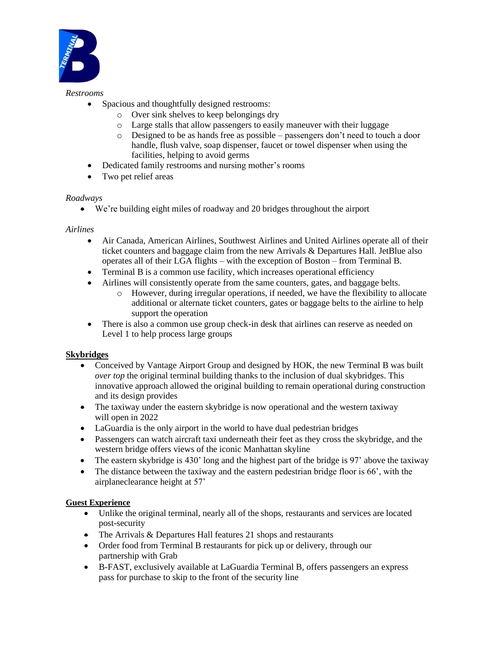

#### *Restrooms*

- Spacious and thoughtfully designed restrooms:
	- o Over sink shelves to keep belongings dry
		- o Large stalls that allow passengers to easily maneuver with their luggage
		- o Designed to be as hands free as possible passengers don't need to touch a door handle, flush valve, soap dispenser, faucet or towel dispenser when using the facilities, helping to avoid germs
- Dedicated family restrooms and nursing mother's rooms
- Two pet relief areas

#### *Roadways*

• We're building eight miles of roadway and 20 bridges throughout the airport

#### *Airlines*

- Air Canada, American Airlines, Southwest Airlines and United Airlines operate all of their ticket counters and baggage claim from the new Arrivals & Departures Hall. JetBlue also operates all of their LGA flights – with the exception of Boston – from Terminal B.
- Terminal B is a common use facility, which increases operational efficiency
- Airlines will consistently operate from the same counters, gates, and baggage belts.
	- o However, during irregular operations, if needed, we have the flexibility to allocate additional or alternate ticket counters, gates or baggage belts to the airline to help support the operation
- There is also a common use group check-in desk that airlines can reserve as needed on Level 1 to help process large groups

## **Skybridges**

- Conceived by Vantage Airport Group and designed by HOK, the new Terminal B was built *over top* the original terminal building thanks to the inclusion of dual skybridges. This innovative approach allowed the original building to remain operational during construction and its design provides
- The taxiway under the eastern skybridge is now operational and the western taxiway will open in 2022
- LaGuardia is the only airport in the world to have dual pedestrian bridges
- Passengers can watch aircraft taxi underneath their feet as they cross the skybridge, and the western bridge offers views of the iconic Manhattan skyline
- The eastern skybridge is 430' long and the highest part of the bridge is 97' above the taxiway
- The distance between the taxiway and the eastern pedestrian bridge floor is 66', with the airplaneclearance height at 57'

#### **Guest Experience**

- Unlike the original terminal, nearly all of the shops, restaurants and services are located post-security
- The Arrivals & Departures Hall features 21 shops and restaurants
- Order food from Terminal B restaurants for pick up or delivery, through our partnership with Grab
- B-FAST, exclusively available at LaGuardia Terminal B, offers passengers an express pass for purchase to skip to the front of the security line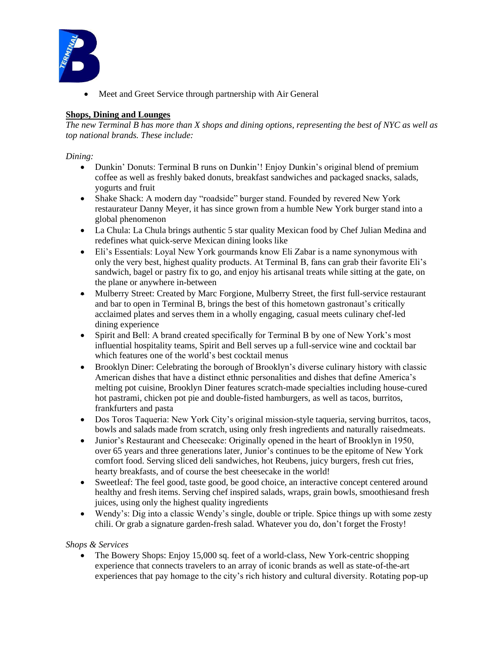

• Meet and Greet Service through partnership with Air General

## **Shops, Dining and Lounges**

*The new Terminal B has more than X shops and dining options, representing the best of NYC as well as top national brands. These include:*

#### *Dining:*

- Dunkin' Donuts: Terminal B runs on Dunkin'! Enjoy Dunkin's original blend of premium coffee as well as freshly baked donuts, breakfast sandwiches and packaged snacks, salads, yogurts and fruit
- Shake Shack: A modern day "roadside" burger stand. Founded by revered New York restaurateur Danny Meyer, it has since grown from a humble New York burger stand into a global phenomenon
- La Chula: La Chula brings authentic 5 star quality Mexican food by Chef Julian Medina and redefines what quick-serve Mexican dining looks like
- Eli's Essentials: Loyal New York gourmands know Eli Zabar is a name synonymous with only the very best, highest quality products. At Terminal B, fans can grab their favorite Eli's sandwich, bagel or pastry fix to go, and enjoy his artisanal treats while sitting at the gate, on the plane or anywhere in-between
- Mulberry Street: Created by Marc Forgione, Mulberry Street, the first full-service restaurant and bar to open in Terminal B, brings the best of this hometown gastronaut's critically acclaimed plates and serves them in a wholly engaging, casual meets culinary chef-led dining experience
- Spirit and Bell: A brand created specifically for Terminal B by one of New York's most influential hospitality teams, Spirit and Bell serves up a full-service wine and cocktail bar which features one of the world's best cocktail menus
- Brooklyn Diner: Celebrating the borough of Brooklyn's diverse culinary history with classic American dishes that have a distinct ethnic personalities and dishes that define America's melting pot cuisine, Brooklyn Diner features scratch-made specialties including house-cured hot pastrami, chicken pot pie and double-fisted hamburgers, as well as tacos, burritos, frankfurters and pasta
- Dos Toros Taqueria: New York City's original mission-style taqueria, serving burritos, tacos, bowls and salads made from scratch, using only fresh ingredients and naturally raisedmeats.
- Junior's Restaurant and Cheesecake: Originally opened in the heart of Brooklyn in 1950, over 65 years and three generations later, Junior's continues to be the epitome of New York comfort food. Serving sliced deli sandwiches, hot Reubens, juicy burgers, fresh cut fries, hearty breakfasts, and of course the best cheesecake in the world!
- Sweetleaf: The feel good, taste good, be good choice, an interactive concept centered around healthy and fresh items. Serving chef inspired salads, wraps, grain bowls, smoothiesand fresh juices, using only the highest quality ingredients
- Wendy's: Dig into a classic Wendy's single, double or triple. Spice things up with some zesty chili. Or grab a signature garden-fresh salad. Whatever you do, don't forget the Frosty!

## *Shops & Services*

• The Bowery Shops: Enjoy 15,000 sq. feet of a world-class, New York-centric shopping experience that connects travelers to an array of iconic brands as well as state-of-the-art experiences that pay homage to the city's rich history and cultural diversity. Rotating pop-up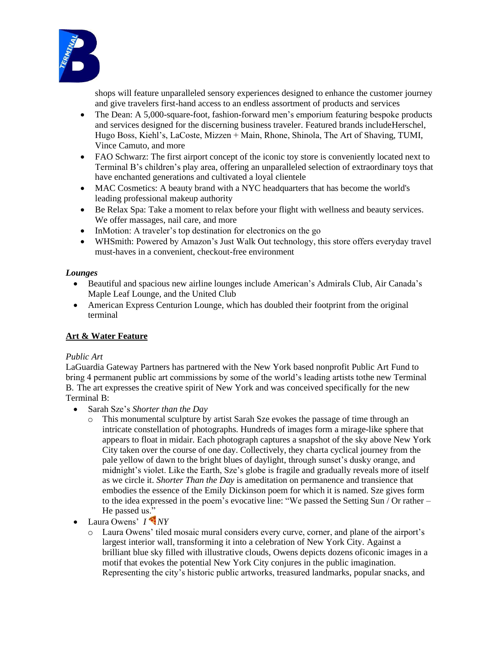

shops will feature unparalleled sensory experiences designed to enhance the customer journey and give travelers first-hand access to an endless assortment of products and services

- The Dean: A 5,000-square-foot, fashion-forward men's emporium featuring bespoke products and services designed for the discerning business traveler. Featured brands includeHerschel, Hugo Boss, Kiehl's, LaCoste, Mizzen + Main, Rhone, Shinola, The Art of Shaving, TUMI, Vince Camuto, and more
- FAO Schwarz: The first airport concept of the iconic toy store is conveniently located next to Terminal B's children's play area, offering an unparalleled selection of extraordinary toys that have enchanted generations and cultivated a loyal clientele
- MAC Cosmetics: A beauty brand with a NYC headquarters that has become the world's leading professional makeup authority
- Be Relax Spa: Take a moment to relax before your flight with wellness and beauty services. We offer massages, nail care, and more
- InMotion: A traveler's top destination for electronics on the go
- WHSmith: Powered by Amazon's Just Walk Out technology, this store offers everyday travel must-haves in a convenient, checkout-free environment

## *Lounges*

- Beautiful and spacious new airline lounges include American's Admirals Club, Air Canada's Maple Leaf Lounge, and the United Club
- American Express Centurion Lounge, which has doubled their footprint from the original terminal

## **Art & Water Feature**

## *Public Art*

LaGuardia Gateway Partners has partnered with the New York based nonprofit Public Art Fund to bring 4 permanent public art commissions by some of the world's leading artists tothe new Terminal B. The art expresses the creative spirit of New York and was conceived specifically for the new Terminal B:

- Sarah Sze's *Shorter than the Day*
	- o This monumental sculpture by artist Sarah Sze evokes the passage of time through an intricate constellation of photographs. Hundreds of images form a mirage-like sphere that appears to float in midair. Each photograph captures a snapshot of the sky above New York City taken over the course of one day. Collectively, they charta cyclical journey from the pale yellow of dawn to the bright blues of daylight, through sunset's dusky orange, and midnight's violet. Like the Earth, Sze's globe is fragile and gradually reveals more of itself as we circle it. *Shorter Than the Day* is ameditation on permanence and transience that embodies the essence of the Emily Dickinson poem for which it is named. Sze gives form to the idea expressed in the poem's evocative line: "We passed the Setting Sun / Or rather – He passed us."
- Laura Owens'  $I^{\bullet} N Y$ 
	- o Laura Owens' tiled mosaic mural considers every curve, corner, and plane of the airport's largest interior wall, transforming it into a celebration of New York City. Against a brilliant blue sky filled with illustrative clouds, Owens depicts dozens oficonic images in a motif that evokes the potential New York City conjures in the public imagination. Representing the city's historic public artworks, treasured landmarks, popular snacks, and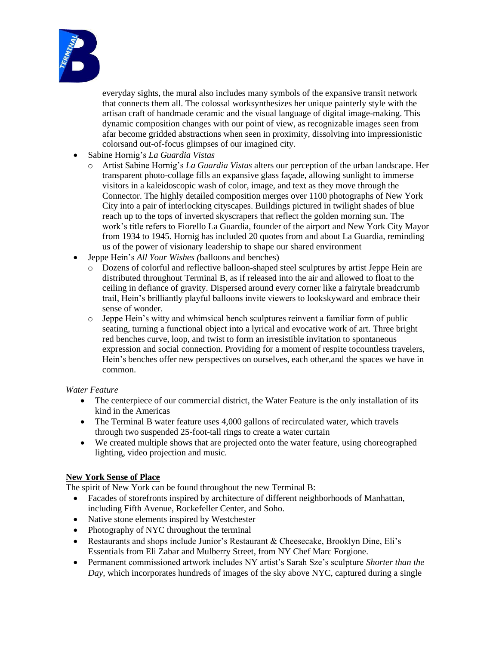

everyday sights, the mural also includes many symbols of the expansive transit network that connects them all. The colossal worksynthesizes her unique painterly style with the artisan craft of handmade ceramic and the visual language of digital image-making. This dynamic composition changes with our point of view, as recognizable images seen from afar become gridded abstractions when seen in proximity, dissolving into impressionistic colorsand out-of-focus glimpses of our imagined city.

- Sabine Hornig's *La Guardia Vistas*
	- o Artist Sabine Hornig's *La Guardia Vistas* alters our perception of the urban landscape. Her transparent photo-collage fills an expansive glass façade, allowing sunlight to immerse visitors in a kaleidoscopic wash of color, image, and text as they move through the Connector. The highly detailed composition merges over 1100 photographs of New York City into a pair of interlocking cityscapes. Buildings pictured in twilight shades of blue reach up to the tops of inverted skyscrapers that reflect the golden morning sun. The work's title refers to Fiorello La Guardia, founder of the airport and New York City Mayor from 1934 to 1945. Hornig has included 20 quotes from and about La Guardia, reminding us of the power of visionary leadership to shape our shared environment
- Jeppe Hein's *All Your Wishes (*balloons and benches)
	- o Dozens of colorful and reflective balloon-shaped steel sculptures by artist Jeppe Hein are distributed throughout Terminal B, as if released into the air and allowed to float to the ceiling in defiance of gravity. Dispersed around every corner like a fairytale breadcrumb trail, Hein's brilliantly playful balloons invite viewers to lookskyward and embrace their sense of wonder.
	- o Jeppe Hein's witty and whimsical bench sculptures reinvent a familiar form of public seating, turning a functional object into a lyrical and evocative work of art. Three bright red benches curve, loop, and twist to form an irresistible invitation to spontaneous expression and social connection. Providing for a moment of respite tocountless travelers, Hein's benches offer new perspectives on ourselves, each other,and the spaces we have in common.

#### *Water Feature*

- The centerpiece of our commercial district, the Water Feature is the only installation of its kind in the Americas
- The Terminal B water feature uses 4,000 gallons of recirculated water, which travels through two suspended 25-foot-tall rings to create a water curtain
- We created multiple shows that are projected onto the water feature, using choreographed lighting, video projection and music.

## **New York Sense of Place**

The spirit of New York can be found throughout the new Terminal B:

- Facades of storefronts inspired by architecture of different neighborhoods of Manhattan, including Fifth Avenue, Rockefeller Center, and Soho.
- Native stone elements inspired by Westchester
- Photography of NYC throughout the terminal
- Restaurants and shops include Junior's Restaurant & Cheesecake, Brooklyn Dine, Eli's Essentials from Eli Zabar and Mulberry Street, from NY Chef Marc Forgione.
- Permanent commissioned artwork includes NY artist's Sarah Sze's sculpture *Shorter than the Day,* which incorporates hundreds of images of the sky above NYC, captured during a single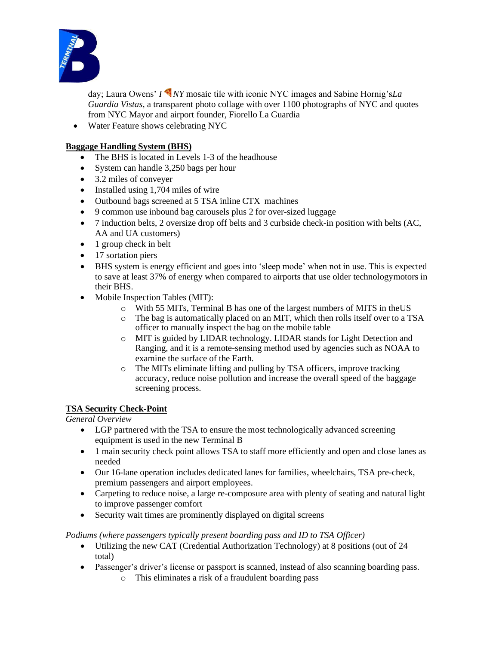

day; Laura Owens' *I NY* mosaic tile with iconic NYC images and Sabine Hornig's*La Guardia Vistas,* a transparent photo collage with over 1100 photographs of NYC and quotes from NYC Mayor and airport founder, Fiorello La Guardia

• Water Feature shows celebrating NYC

#### **Baggage Handling System (BHS)**

- The BHS is located in Levels 1-3 of the headhouse
- System can handle 3,250 bags per hour
- 3.2 miles of conveyer
- Installed using 1,704 miles of wire
- Outbound bags screened at 5 TSA inline CTX machines
- 9 common use inbound bag carousels plus 2 for over-sized luggage
- 7 induction belts, 2 oversize drop off belts and 3 curbside check-in position with belts (AC, AA and UA customers)
- 1 group check in belt
- 17 sortation piers
- BHS system is energy efficient and goes into 'sleep mode' when not in use. This is expected to save at least 37% of energy when compared to airports that use older technologymotors in their BHS.
- Mobile Inspection Tables (MIT):
	- o With 55 MITs, Terminal B has one of the largest numbers of MITS in theUS
	- o The bag is automatically placed on an MIT, which then rolls itself over to a TSA officer to manually inspect the bag on the mobile table
	- o MIT is guided by LIDAR technology. LIDAR stands for Light Detection and Ranging, and it is a remote-sensing method used by agencies such as NOAA to examine the surface of the Earth.
	- o The MITs eliminate lifting and pulling by TSA officers, improve tracking accuracy, reduce noise pollution and increase the overall speed of the baggage screening process.

## **TSA Security Check-Point**

*General Overview*

- LGP partnered with the TSA to ensure the most technologically advanced screening equipment is used in the new Terminal B
- 1 main security check point allows TSA to staff more efficiently and open and close lanes as needed
- Our 16-lane operation includes dedicated lanes for families, wheelchairs, TSA pre-check, premium passengers and airport employees.
- Carpeting to reduce noise, a large re-composure area with plenty of seating and natural light to improve passenger comfort
- Security wait times are prominently displayed on digital screens

#### *Podiums (where passengers typically present boarding pass and ID to TSA Officer)*

- Utilizing the new CAT (Credential Authorization Technology) at 8 positions (out of 24 total)
- Passenger's driver's license or passport is scanned, instead of also scanning boarding pass.
	- o This eliminates a risk of a fraudulent boarding pass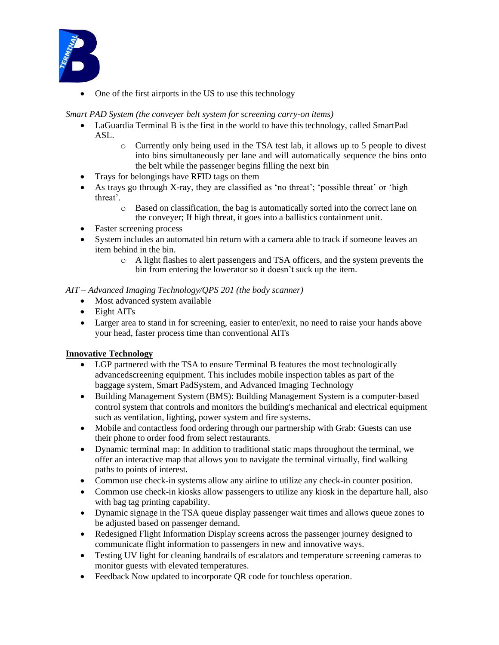

• One of the first airports in the US to use this technology

## *Smart PAD System (the conveyer belt system for screening carry-on items)*

- LaGuardia Terminal B is the first in the world to have this technology, called SmartPad ASL.
	- o Currently only being used in the TSA test lab, it allows up to 5 people to divest into bins simultaneously per lane and will automatically sequence the bins onto the belt while the passenger begins filling the next bin
- Trays for belongings have RFID tags on them
- As trays go through X-ray, they are classified as 'no threat'; 'possible threat' or 'high threat'.
	- o Based on classification, the bag is automatically sorted into the correct lane on the conveyer; If high threat, it goes into a ballistics containment unit.
- Faster screening process
- System includes an automated bin return with a camera able to track if someone leaves an item behind in the bin.
	- o A light flashes to alert passengers and TSA officers, and the system prevents the bin from entering the lowerator so it doesn't suck up the item.

#### *AIT – Advanced Imaging Technology/QPS 201 (the body scanner)*

- Most advanced system available
- Eight AITs
- Larger area to stand in for screening, easier to enter/exit, no need to raise your hands above your head, faster process time than conventional AITs

## **Innovative Technology**

- LGP partnered with the TSA to ensure Terminal B features the most technologically advancedscreening equipment. This includes mobile inspection tables as part of the baggage system, Smart PadSystem, and Advanced Imaging Technology
- Building Management System (BMS): Building Management System is a computer-based control system that controls and monitors the building's mechanical and electrical equipment such as ventilation, lighting, power system and fire systems.
- Mobile and contactless food ordering through our partnership with Grab: Guests can use their phone to order food from select restaurants.
- Dynamic terminal map: In addition to traditional static maps throughout the terminal, we offer an interactive map that allows you to navigate the terminal virtually, find walking paths to points of interest.
- Common use check-in systems allow any airline to utilize any check-in counter position.
- Common use check-in kiosks allow passengers to utilize any kiosk in the departure hall, also with bag tag printing capability.
- Dynamic signage in the TSA queue display passenger wait times and allows queue zones to be adjusted based on passenger demand.
- Redesigned Flight Information Display screens across the passenger journey designed to communicate flight information to passengers in new and innovative ways.
- Testing UV light for cleaning handrails of escalators and temperature screening cameras to monitor guests with elevated temperatures.
- Feedback Now updated to incorporate OR code for touchless operation.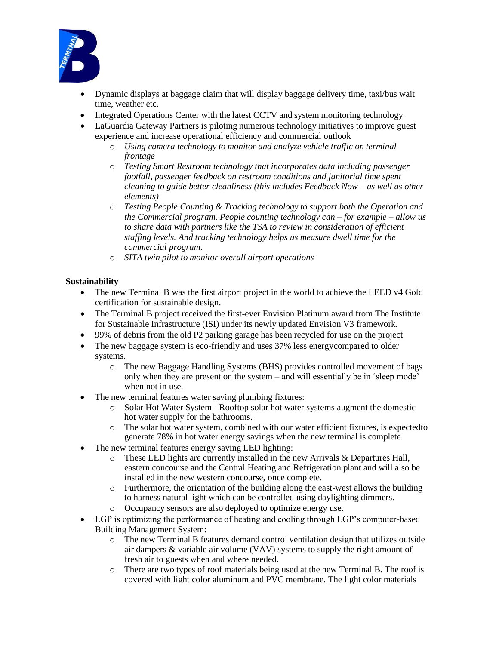

- Dynamic displays at baggage claim that will display baggage delivery time, taxi/bus wait time, weather etc.
- Integrated Operations Center with the latest CCTV and system monitoring technology
- LaGuardia Gateway Partners is piloting numerous technology initiatives to improve guest experience and increase operational efficiency and commercial outlook
	- o *Using camera technology to monitor and analyze vehicle traffic on terminal frontage*
	- o *Testing Smart Restroom technology that incorporates data including passenger footfall, passenger feedback on restroom conditions and janitorial time spent cleaning to guide better cleanliness (this includes Feedback Now – as well as other elements)*
	- o *Testing People Counting & Tracking technology to support both the Operation and the Commercial program. People counting technology can – for example – allow us to share data with partners like the TSA to review in consideration of efficient staffing levels. And tracking technology helps us measure dwell time for the commercial program.*
	- o *SITA twin pilot to monitor overall airport operations*

#### **Sustainability**

- The new Terminal B was the first airport project in the world to achieve the LEED v4 Gold certification for sustainable design.
- The Terminal B project received the first-ever Envision Platinum award from The Institute for Sustainable Infrastructure (ISI) under its newly updated Envision V3 framework.
- 99% of debris from the old P2 parking garage has been recycled for use on the project
- The new baggage system is eco-friendly and uses 37% less energy compared to older systems.
	- o The new Baggage Handling Systems (BHS) provides controlled movement of bags only when they are present on the system – and will essentially be in 'sleep mode' when not in use.
- The new terminal features water saving plumbing fixtures:
	- o Solar Hot Water System Rooftop solar hot water systems augment the domestic hot water supply for the bathrooms.
	- o The solar hot water system, combined with our water efficient fixtures, is expectedto generate 78% in hot water energy savings when the new terminal is complete.
- The new terminal features energy saving LED lighting:
	- $\circ$  These LED lights are currently installed in the new Arrivals & Departures Hall, eastern concourse and the Central Heating and Refrigeration plant and will also be installed in the new western concourse, once complete.
	- o Furthermore, the orientation of the building along the east-west allows the building to harness natural light which can be controlled using daylighting dimmers.
	- o Occupancy sensors are also deployed to optimize energy use.
- LGP is optimizing the performance of heating and cooling through LGP's computer-based Building Management System:
	- o The new Terminal B features demand control ventilation design that utilizes outside air dampers & variable air volume (VAV) systems to supply the right amount of fresh air to guests when and where needed.
	- o There are two types of roof materials being used at the new Terminal B. The roof is covered with light color aluminum and PVC membrane. The light color materials